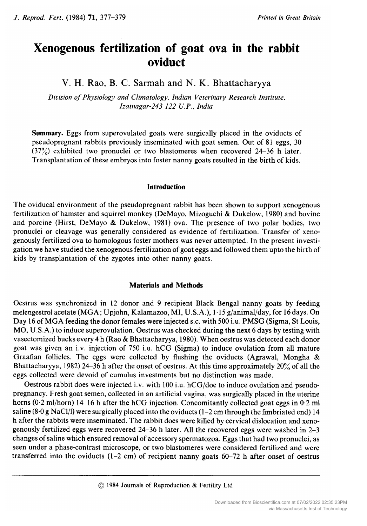# Xenogenous fertilization of goat ova in the rabbit oviduct

V. H. Rao, B. C. Sarmah and N. K. Bhattacharyya

Division of Physiology and Climatology, Indian Veterinary Research Institute, Izatnagar-243 <sup>122</sup> U.P., India

Summary. Eggs from superovulated goats were surgically placed in the oviducts of pseudopregnant rabbits previously inseminated with goat semen. Out of <sup>81</sup> eggs, <sup>30</sup>  $(37\%)$  exhibited two pronuclei or two blastomeres when recovered 24-36 h later. Transplantation of these embryos into foster nanny goats resulted in the birth of kids.

# Introduction

The oviducal environment of the pseudopregnant rabbit has been shown to support xenogenous fertilization of hamster and squirrel monkey (DeMayo, Mizoguchi & Dukelow, 1980) and bovine and porcine (Hirst, DeMayo & Dukelow, 1981) ova. The presence of two polar bodies, two pronuclei or cleavage was generally considered as evidence of fertilization. Transfer of xenogenously fertilized ova to homologous foster mothers was never attempted. In the present investigation we have studied the xenogenous fertilization of goat eggs and followed them upto the birth of kids by transplantation of the zygotes into other nanny goats.

# Materials and Methods

Oestrus was synchronized in <sup>12</sup> donor and <sup>9</sup> recipient Black Bengal nanny goats by feeding melengestrol acetate (MGA; Upjohn, Kalamazoo, MI, U.S.A.), <sup>1</sup> · <sup>15</sup> g/animal/day, for 16days. On Day <sup>16</sup> of MGA feeding the donor females were injected s.c. with <sup>500</sup> i.u. PMSG (Sigma, St Louis, MO, U.S.A.) to induce superovulation. Oestrus was checked during the next <sup>6</sup> days by testing with vasectomized bucks every <sup>4</sup> h (Rao & Bhattacharyya, 1980). When oestrus was detected each donor goat was given an i.v. injection of <sup>750</sup> i.u. hCG (Sigma) to induce ovulation from all mature Graafian follicles. The eggs were collected by flushing the oviducts (Agrawal, Mongha  $\&$ Bhattacharyya, 1982) 24-36 <sup>h</sup> after the onset of oestrus. At this time approximately 20% of all the eggs collected were devoid of cumulus investments but no distinction was made.

Oestrous rabbit does were injected i.v. with <sup>100</sup> i.u. hCG/doe to induce ovulation and pseudopregnancy. Fresh goat semen, collected in an artificial vagina, was surgically placed in the uterine horns (0.2 ml/horn) 14-16 h after the hCG injection. Concomitantly collected goat eggs in 0.2 ml saline  $(8.0 g NaCl/l)$  were surgically placed into the oviducts  $(1-2 \text{ cm through the fimbriated end})$  14 <sup>h</sup> after the rabbits were inseminated. The rabbit does were killed by cervical dislocation and xenogenously fertilized eggs were recovered 24-36 <sup>h</sup> later. All the recovered eggs were washed in 2-3 changes of saline which ensured removal of accessory spermatozoa. Eggs that had two pronuclei, as seen under <sup>a</sup> phase-contrast microscope, or two blastomeres were considered fertilized and were transferred into the oviducts  $(1-2 \text{ cm})$  of recipient nanny goats  $60-72$  h after onset of oestrus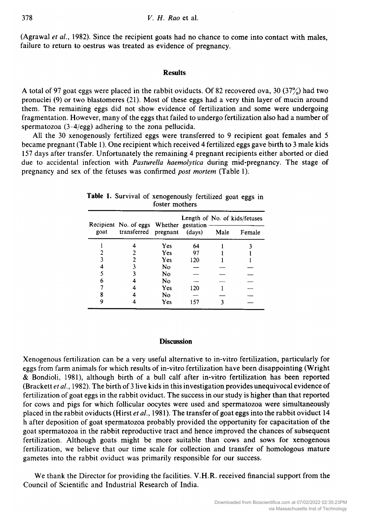(Agrawal et ai, 1982). Since the recipient goats had no chance to come into contact with males, failure to return to oestrus was treated as evidence of pregnancy.

### Results

A total of <sup>97</sup> goat eggs were placed in the rabbit oviducts. Of <sup>82</sup> recovered ova, <sup>30</sup> (37%) had two pronuclei (9) or two blastomeres (21). Most of these eggs had <sup>a</sup> very thin layer of mucin around them. The remaining eggs did not show evidence of fertilization and some were undergoing fragmentation. However, many of the eggs that failed to undergo fertilization also had <sup>a</sup> number of spermatozoa (3-4/egg) adhering to the zona pellucida.

All the <sup>30</sup> xenogenously fertilized eggs were transferred to <sup>9</sup> recipient goat females and <sup>5</sup> became pregnant (Table 1). One recipient which received 4 fertilized eggs gave birth to <sup>3</sup> male kids <sup>157</sup> days after transfer. Unfortunately the remaining <sup>4</sup> pregnant recipients either aborted or died due to accidental infection with *Pasturella haemolytica* during mid-pregnancy. The stage of pregnancy and sex of the fetuses was confirmed post mortem (Table 1).

| goat | Recipient No. of eggs Whether gestation -<br>transferred pregnant (days) |     |     | Length of No. of kids/fetuses |        |
|------|--------------------------------------------------------------------------|-----|-----|-------------------------------|--------|
|      |                                                                          |     |     | Male                          | Female |
|      |                                                                          | Yes | 64  |                               |        |
|      |                                                                          | Yes | 97  |                               |        |
|      |                                                                          | Yes | 120 |                               |        |
|      |                                                                          | No  |     |                               |        |
|      |                                                                          | No  |     |                               |        |
|      |                                                                          | No  |     |                               |        |
|      |                                                                          | Yes | 120 |                               |        |
|      |                                                                          | No  |     |                               |        |
|      |                                                                          | Yes | 157 |                               |        |

# Table 1. Survival of xenogenously fertilized goat eggs in foster mothers

# **Discussion**

Xenogenous fertilization can be <sup>a</sup> very useful alternative to in-vitro fertilization, particularly for eggs from farm animals for which results of in-vitro fertilization have been disappointing (Wright & Bondioli, 1981), although birth of <sup>a</sup> bull calf after in-vitro fertilization has been reported (Brackett et al., 1982). The birth of <sup>3</sup> live kids in this investigation provides unequivocal evidence of fertilization of goat eggs in the rabbit oviduct. The success in our study is higher than that reported for cows and pigs for which follicular oocytes were used and spermatozoa were simultaneously placed in the rabbit oviducts (Hirst et al., 1981). The transfer of goat eggs into the rabbit oviduct 14 <sup>h</sup> after deposition of goat spermatozoa probably provided the opportunity for capacitation of the goat spermatozoa in the rabbit reproductive tract and hence improved the chances of subsequent fertilization. Although goats might be more suitable than cows and sows for xenogenous fertilization, we believe that our time scale for collection and transfer of homologous mature gametes into the rabbit oviduct was primarily responsible for our success.

We thank the Director for providing the facilities. V.H.R. received financial support from the Council of Scientific and Industrial Research of India.